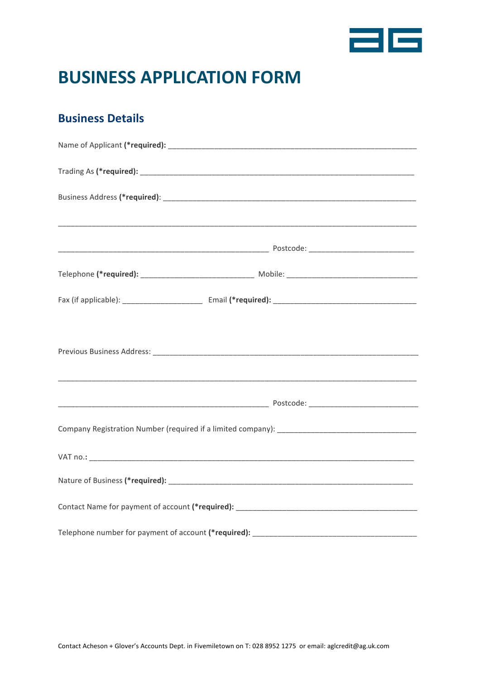

# **BUSINESS APPLICATION FORM**

#### **Business Details**

| Contact Name for payment of account (*required): ________________________________ |  |
|-----------------------------------------------------------------------------------|--|
|                                                                                   |  |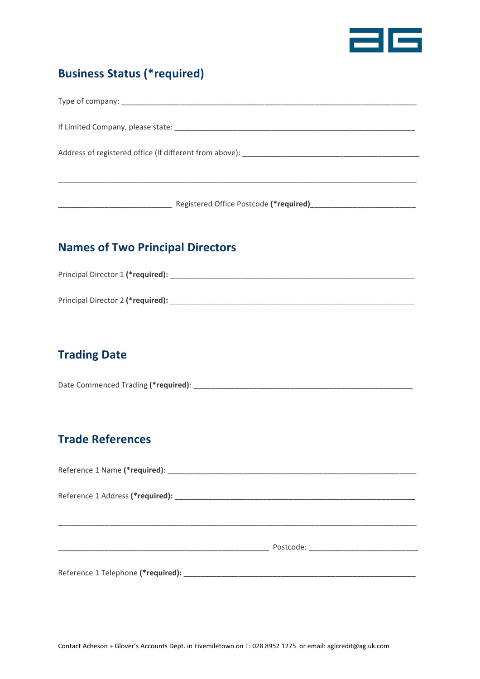

## **Business Status (\*required)**

\_\_\_\_\_\_\_\_\_\_\_\_\_\_\_\_\_\_\_\_\_\_\_\_\_\_\_ Registered Office Postcode **(\*required)**\_\_\_\_\_\_\_\_\_\_\_\_\_\_\_\_\_\_\_\_\_\_\_\_\_ 

## **Names of Two Principal Directors**

Principal Director 1 **(\*required):** \_\_\_\_\_\_\_\_\_\_\_\_\_\_\_\_\_\_\_\_\_\_\_\_\_\_\_\_\_\_\_\_\_\_\_\_\_\_\_\_\_\_\_\_\_\_\_\_\_\_\_\_\_\_\_\_\_\_

| Principal Director 2 (*required): |  |
|-----------------------------------|--|
|-----------------------------------|--|

## **Trading Date**

Date Commenced Trading (\*required): <u>University of the Commenced</u> Trading (\*required):

## **Trade References**